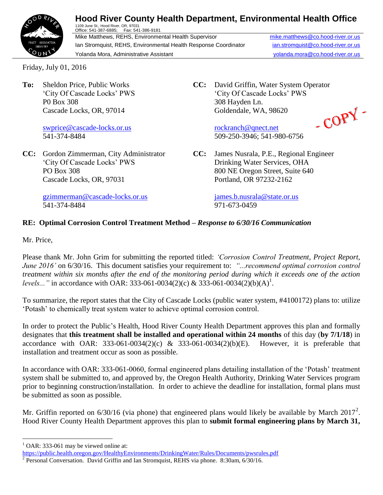

**Hood River County Health Department, Environmental Health Office** 1109 June St., Hood River, OR, 97031 Office: 541-387-6885; Fax: 541-386-9181 Mike Matthews, REHS, Environmental Health Supervisor [mike.matthews@co.hood-river.or.us](mailto:mike.matthews@co.hood-river.or.us) Ian Stromquist, REHS, Environmental Health Response Coordinator *[ian.stromquist@co.hood-river.or.us](mailto:ian.stromquist@co.hood-river.or.us)* Yolanda Mora, Administrative Assistant [yolanda.mora@co.hood-river.or.us](mailto:yolanda.mora@co.hood-river.or.us)

Friday, July 01, 2016

**To:** Sheldon Price, Public Works 'City Of Cascade Locks' PWS P0 Box 308 Cascade Locks, OR, 97014

> [swprice@cascade-locks.or.us](mailto:swprice@cascade-locks.or.us) 541-374-8484

**CC:** Gordon Zimmerman, City Administrator 'City Of Cascade Locks' PWS PO Box 308 Cascade Locks, OR, 97031

> [gzimmerman@cascade-locks.or.us](mailto:gzimmerman@cascade-locks.or.us) 541-374-8484

**CC:** David Griffin, Water System Operator 'City Of Cascade Locks' PWS 308 Hayden Ln. Goldendale, WA, 98620

-COPY-

[rockranch@qnect.net](mailto:rockranch@qnect.net) 509-250-3946; 541-980-6756

**CC:** James Nusrala, P.E., Regional Engineer Drinking Water Services, OHA 800 NE Oregon Street, Suite 640 Portland, OR 97232-2162

> [james.b.nusrala@state.or.us](mailto:james.b.nusrala@state.or.us) 971-673-0459

# **RE: Optimal Corrosion Control Treatment Method –** *Response to 6/30/16 Communication*

Mr. Price,

Please thank Mr. John Grim for submitting the reported titled: *'Corrosion Control Treatment, Project Report, June 2016'* on 6/30/16. This document satisfies your requirement to: *"...recommend optimal corrosion control treatment within six months after the end of the monitoring period during which it exceeds one of the action levels...*" in accordance with OAR: 333-061-0034(2)(c) & 333-061-0034(2)(b)(A)<sup>1</sup>.

To summarize, the report states that the City of Cascade Locks (public water system, #4100172) plans to: utilize 'Potash' to chemically treat system water to achieve optimal corrosion control.

In order to protect the Public's Health, Hood River County Health Department approves this plan and formally designates that **this treatment shall be installed and operational within 24 months** of this day (**by 7/1/18**) in accordance with OAR:  $333-061-0034(2)(c)$  &  $333-061-0034(2)(b)(E)$ . However, it is preferable that installation and treatment occur as soon as possible.

In accordance with OAR: 333-061-0060, formal engineered plans detailing installation of the 'Potash' treatment system shall be submitted to, and approved by, the Oregon Health Authority, Drinking Water Services program prior to beginning construction/installation. In order to achieve the deadline for installation, formal plans must be submitted as soon as possible.

Mr. Griffin reported on  $6/30/16$  (via phone) that engineered plans would likely be available by March  $2017^2$ . Hood River County Health Department approves this plan to **submit formal engineering plans by March 31,** 

 $\overline{a}$ 

 $1$  OAR: 333-061 may be viewed online at:

<https://public.health.oregon.gov/HealthyEnvironments/DrinkingWater/Rules/Documents/pwsrules.pdf>

<sup>&</sup>lt;sup>2</sup> Personal Conversation. David Griffin and Ian Stromquist, REHS via phone. 8:30am, 6/30/16.